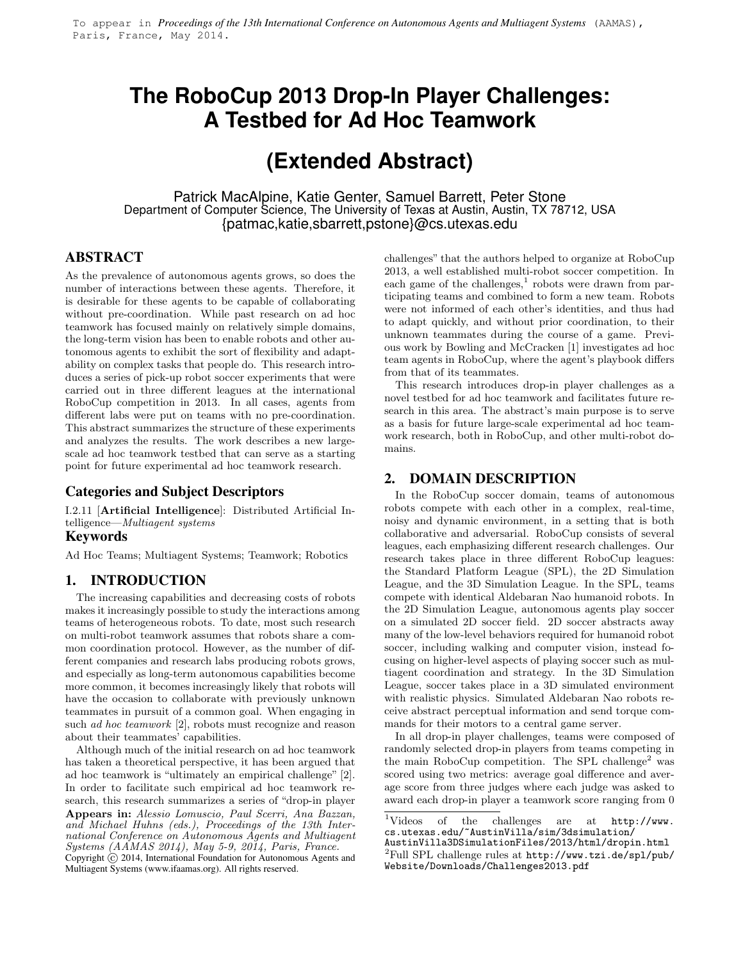## **The RoboCup 2013 Drop-In Player Challenges: A Testbed for Ad Hoc Teamwork**

# **(Extended Abstract)**

Patrick MacAlpine, Katie Genter, Samuel Barrett, Peter Stone Department of Computer Science, The University of Texas at Austin, Austin, TX 78712, USA {patmac,katie,sbarrett,pstone}@cs.utexas.edu

## **ABSTRACT**

As the prevalence of autonomous agents grows, so does the number of interactions between these agents. Therefore, it is desirable for these agents to be capable of collaborating without pre-coordination. While past research on ad hoc teamwork has focused mainly on relatively simple domains, the long-term vision has been to enable robots and other autonomous agents to exhibit the sort of flexibility and adaptability on complex tasks that people do. This research introduces a series of pick-up robot soccer experiments that were carried out in three different leagues at the international RoboCup competition in 2013. In all cases, agents from different labs were put on teams with no pre-coordination. This abstract summarizes the structure of these experiments and analyzes the results. The work describes a new largescale ad hoc teamwork testbed that can serve as a starting point for future experimental ad hoc teamwork research.

## **Categories and Subject Descriptors**

I.2.11 [Artificial Intelligence]: Distributed Artificial Intelligence—Multiagent systems

### **Keywords**

Ad Hoc Teams; Multiagent Systems; Teamwork; Robotics

## **1. INTRODUCTION**

The increasing capabilities and decreasing costs of robots makes it increasingly possible to study the interactions among teams of heterogeneous robots. To date, most such research on multi-robot teamwork assumes that robots share a common coordination protocol. However, as the number of different companies and research labs producing robots grows, and especially as long-term autonomous capabilities become more common, it becomes increasingly likely that robots will have the occasion to collaborate with previously unknown teammates in pursuit of a common goal. When engaging in such ad hoc teamwork [2], robots must recognize and reason about their teammates' capabilities.

Although much of the initial research on ad hoc teamwork has taken a theoretical perspective, it has been argued that ad hoc teamwork is "ultimately an empirical challenge" [2]. In order to facilitate such empirical ad hoc teamwork research, this research summarizes a series of "drop-in player

Appears in: Alessio Lomuscio, Paul Scerri, Ana Bazzan, and Michael Huhns (eds.), Proceedings of the 13th International Conference on Autonomous Agents and Multiagent Systems (AAMAS 2014), May 5-9, 2014, Paris, France. Copyright (c) 2014, International Foundation for Autonomous Agents and Multiagent Systems (www.ifaamas.org). All rights reserved.

challenges" that the authors helped to organize at RoboCup 2013, a well established multi-robot soccer competition. In each game of the challenges,<sup>1</sup> robots were drawn from participating teams and combined to form a new team. Robots were not informed of each other's identities, and thus had to adapt quickly, and without prior coordination, to their unknown teammates during the course of a game. Previous work by Bowling and McCracken [1] investigates ad hoc team agents in RoboCup, where the agent's playbook differs from that of its teammates.

This research introduces drop-in player challenges as a novel testbed for ad hoc teamwork and facilitates future research in this area. The abstract's main purpose is to serve as a basis for future large-scale experimental ad hoc teamwork research, both in RoboCup, and other multi-robot domains.

## **2. DOMAIN DESCRIPTION**

In the RoboCup soccer domain, teams of autonomous robots compete with each other in a complex, real-time, noisy and dynamic environment, in a setting that is both collaborative and adversarial. RoboCup consists of several leagues, each emphasizing different research challenges. Our research takes place in three different RoboCup leagues: the Standard Platform League (SPL), the 2D Simulation League, and the 3D Simulation League. In the SPL, teams compete with identical Aldebaran Nao humanoid robots. In the 2D Simulation League, autonomous agents play soccer on a simulated 2D soccer field. 2D soccer abstracts away many of the low-level behaviors required for humanoid robot soccer, including walking and computer vision, instead focusing on higher-level aspects of playing soccer such as multiagent coordination and strategy. In the 3D Simulation League, soccer takes place in a 3D simulated environment with realistic physics. Simulated Aldebaran Nao robots receive abstract perceptual information and send torque commands for their motors to a central game server.

In all drop-in player challenges, teams were composed of randomly selected drop-in players from teams competing in the main RoboCup competition. The SPL challenge<sup>2</sup> was scored using two metrics: average goal difference and average score from three judges where each judge was asked to award each drop-in player a teamwork score ranging from 0

 ${}^{2}$ Full SPL challenge rules at http://www.tzi.de/spl/pub/ Website/Downloads/Challenges2013.pdf

 $1$ Videos of the challenges are at  $http://www.$ cs.utexas.edu/~AustinVilla/sim/3dsimulation/

AustinVilla3DSimulationFiles/2013/html/dropin.html